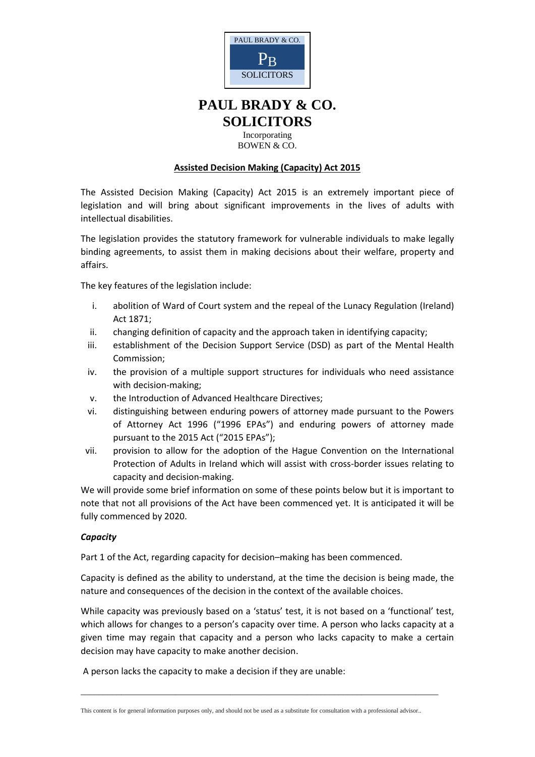

Incorporating BOWEN & CO.

### **Assisted Decision Making (Capacity) Act 2015**

The Assisted Decision Making (Capacity) Act 2015 is an extremely important piece of legislation and will bring about significant improvements in the lives of adults with intellectual disabilities.

The legislation provides the statutory framework for vulnerable individuals to make legally binding agreements, to assist them in making decisions about their welfare, property and affairs.

The key features of the legislation include:

- i. abolition of Ward of Court system and the repeal of the Lunacy Regulation (Ireland) Act 1871;
- ii. changing definition of capacity and the approach taken in identifying capacity;
- iii. establishment of the Decision Support Service (DSD) as part of the Mental Health Commission;
- iv. the provision of a multiple support structures for individuals who need assistance with decision-making;
- v. the Introduction of Advanced Healthcare Directives;
- vi. distinguishing between enduring powers of attorney made pursuant to the Powers of Attorney Act 1996 ("1996 EPAs") and enduring powers of attorney made pursuant to the 2015 Act ("2015 EPAs");
- vii. provision to allow for the adoption of the Hague Convention on the International Protection of Adults in Ireland which will assist with cross-border issues relating to capacity and decision-making.

We will provide some brief information on some of these points below but it is important to note that not all provisions of the Act have been commenced yet. It is anticipated it will be fully commenced by 2020.

#### *Capacity*

Part 1 of the Act, regarding capacity for decision–making has been commenced.

Capacity is defined as the ability to understand, at the time the decision is being made, the nature and consequences of the decision in the context of the available choices.

While capacity was previously based on a 'status' test, it is not based on a 'functional' test, which allows for changes to a person's capacity over time. A person who lacks capacity at a given time may regain that capacity and a person who lacks capacity to make a certain decision may have capacity to make another decision.

A person lacks the capacity to make a decision if they are unable: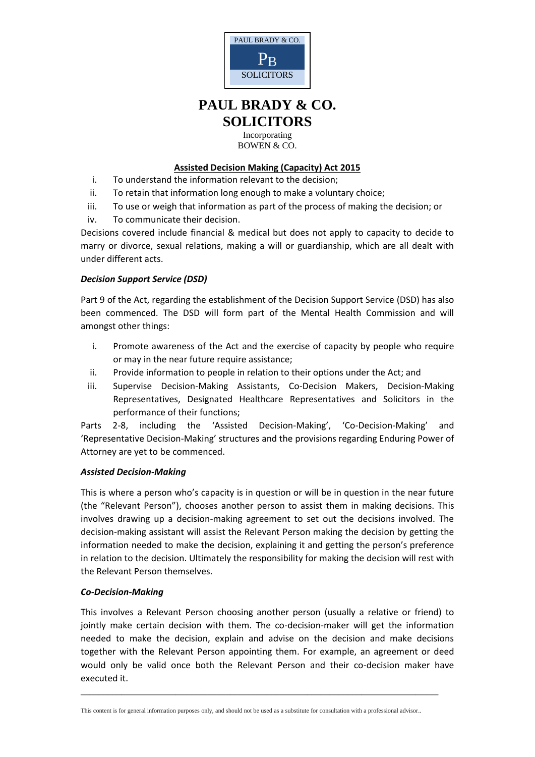

Incorporating BOWEN & CO.

## **Assisted Decision Making (Capacity) Act 2015**

- i. To understand the information relevant to the decision;
- ii. To retain that information long enough to make a voluntary choice;
- iii. To use or weigh that information as part of the process of making the decision; or
- iv. To communicate their decision.

Decisions covered include financial & medical but does not apply to capacity to decide to marry or divorce, sexual relations, making a will or guardianship, which are all dealt with under different acts.

## *Decision Support Service (DSD)*

Part 9 of the Act, regarding the establishment of the Decision Support Service (DSD) has also been commenced. The DSD will form part of the Mental Health Commission and will amongst other things:

- i. Promote awareness of the Act and the exercise of capacity by people who require or may in the near future require assistance;
- ii. Provide information to people in relation to their options under the Act; and
- iii. Supervise Decision-Making Assistants, Co-Decision Makers, Decision-Making Representatives, Designated Healthcare Representatives and Solicitors in the performance of their functions;

Parts 2-8, including the 'Assisted Decision-Making', 'Co-Decision-Making' and 'Representative Decision-Making' structures and the provisions regarding Enduring Power of Attorney are yet to be commenced.

## *Assisted Decision-Making*

This is where a person who's capacity is in question or will be in question in the near future (the "Relevant Person"), chooses another person to assist them in making decisions. This involves drawing up a decision-making agreement to set out the decisions involved. The decision-making assistant will assist the Relevant Person making the decision by getting the information needed to make the decision, explaining it and getting the person's preference in relation to the decision. Ultimately the responsibility for making the decision will rest with the Relevant Person themselves.

## *Co-Decision-Making*

This involves a Relevant Person choosing another person (usually a relative or friend) to jointly make certain decision with them. The co-decision-maker will get the information needed to make the decision, explain and advise on the decision and make decisions together with the Relevant Person appointing them. For example, an agreement or deed would only be valid once both the Relevant Person and their co-decision maker have executed it.

This content is for general information purposes only, and should not be used as a substitute for consultation with a professional advisor..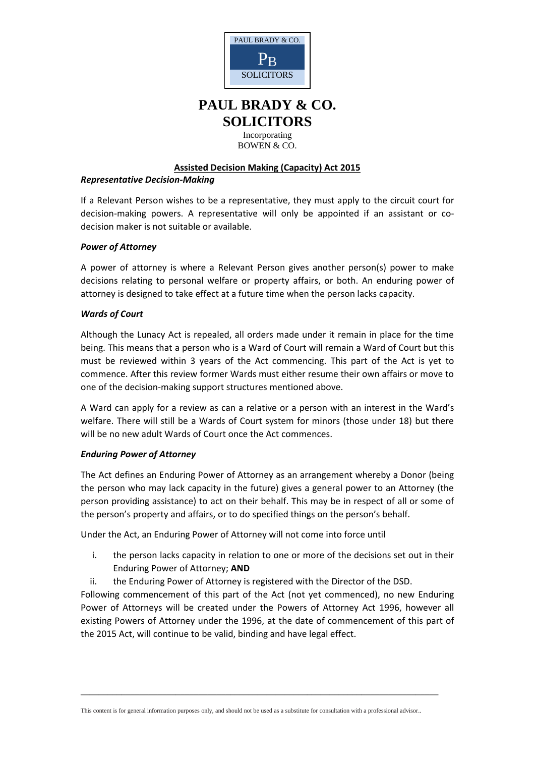

Incorporating BOWEN & CO.

### **Assisted Decision Making (Capacity) Act 2015**

#### *Representative Decision-Making*

If a Relevant Person wishes to be a representative, they must apply to the circuit court for decision-making powers. A representative will only be appointed if an assistant or codecision maker is not suitable or available.

### *Power of Attorney*

A power of attorney is where a Relevant Person gives another person(s) power to make decisions relating to personal welfare or property affairs, or both. An enduring power of attorney is designed to take effect at a future time when the person lacks capacity.

### *Wards of Court*

Although the Lunacy Act is repealed, all orders made under it remain in place for the time being. This means that a person who is a Ward of Court will remain a Ward of Court but this must be reviewed within 3 years of the Act commencing. This part of the Act is yet to commence. After this review former Wards must either resume their own affairs or move to one of the decision-making support structures mentioned above.

A Ward can apply for a review as can a relative or a person with an interest in the Ward's welfare. There will still be a Wards of Court system for minors (those under 18) but there will be no new adult Wards of Court once the Act commences.

#### *Enduring Power of Attorney*

The Act defines an Enduring Power of Attorney as an arrangement whereby a Donor (being the person who may lack capacity in the future) gives a general power to an Attorney (the person providing assistance) to act on their behalf. This may be in respect of all or some of the person's property and affairs, or to do specified things on the person's behalf.

Under the Act, an Enduring Power of Attorney will not come into force until

- i. the person lacks capacity in relation to one or more of the decisions set out in their Enduring Power of Attorney; **AND**
- ii. the Enduring Power of Attorney is registered with the Director of the DSD.

Following commencement of this part of the Act (not yet commenced), no new Enduring Power of Attorneys will be created under the Powers of Attorney Act 1996, however all existing Powers of Attorney under the 1996, at the date of commencement of this part of the 2015 Act, will continue to be valid, binding and have legal effect.